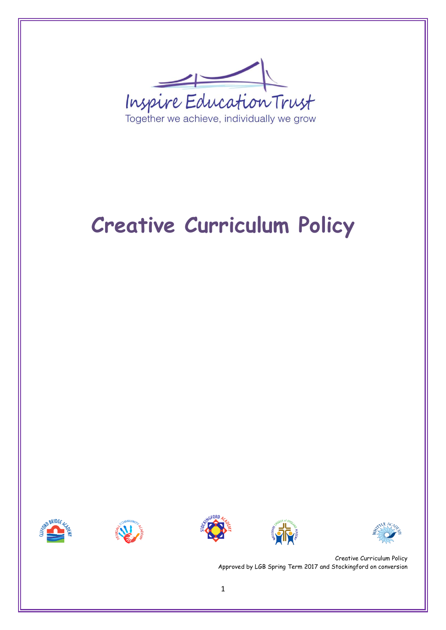Inspire Education Trust Together we achieve, individually we grow

# **Creative Curriculum Policy**









Creative Curriculum Policy Approved by LGB Spring Term 2017 and Stockingford on conversion

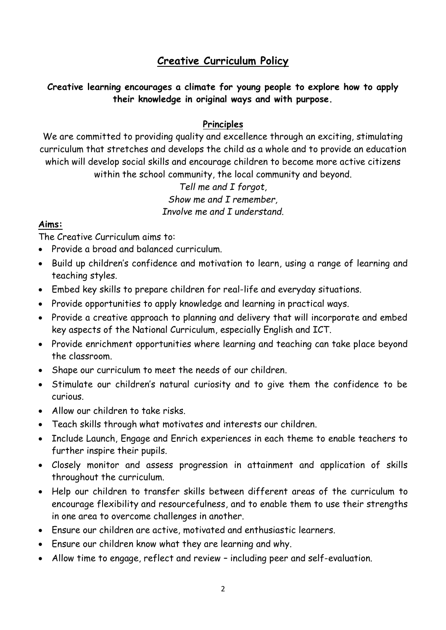# **Creative Curriculum Policy**

## **Creative learning encourages a climate for young people to explore how to apply their knowledge in original ways and with purpose.**

#### **Principles**

We are committed to providing quality and excellence through an exciting, stimulating curriculum that stretches and develops the child as a whole and to provide an education which will develop social skills and encourage children to become more active citizens within the school community, the local community and beyond.

### *Tell me and I forgot, Show me and I remember, Involve me and I understand.*

#### **Aims:**

The Creative Curriculum aims to:

- Provide a broad and balanced curriculum.
- Build up children's confidence and motivation to learn, using a range of learning and teaching styles.
- Embed key skills to prepare children for real-life and everyday situations.
- Provide opportunities to apply knowledge and learning in practical ways.
- Provide a creative approach to planning and delivery that will incorporate and embed key aspects of the National Curriculum, especially English and ICT.
- Provide enrichment opportunities where learning and teaching can take place beyond the classroom.
- Shape our curriculum to meet the needs of our children.
- Stimulate our children's natural curiosity and to give them the confidence to be curious.
- Allow our children to take risks.
- Teach skills through what motivates and interests our children.
- Include Launch, Engage and Enrich experiences in each theme to enable teachers to further inspire their pupils.
- Closely monitor and assess progression in attainment and application of skills throughout the curriculum.
- Help our children to transfer skills between different areas of the curriculum to encourage flexibility and resourcefulness, and to enable them to use their strengths in one area to overcome challenges in another.
- Ensure our children are active, motivated and enthusiastic learners.
- Ensure our children know what they are learning and why.
- Allow time to engage, reflect and review including peer and self-evaluation.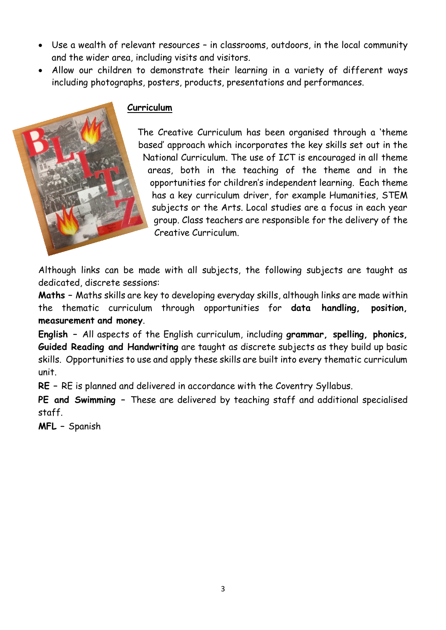- Use a wealth of relevant resources in classrooms, outdoors, in the local community and the wider area, including visits and visitors.
- Allow our children to demonstrate their learning in a variety of different ways including photographs, posters, products, presentations and performances.

## **Curriculum**

The Creative Curriculum has been organised through a 'theme based' approach which incorporates the key skills set out in the National Curriculum. The use of ICT is encouraged in all theme areas, both in the teaching of the theme and in the opportunities for children's independent learning. Each theme has a key curriculum driver, for example Humanities, STEM subjects or the Arts. Local studies are a focus in each year group. Class teachers are responsible for the delivery of the Creative Curriculum.

Although links can be made with all subjects, the following subjects are taught as dedicated, discrete sessions:

**Maths –** Maths skills are key to developing everyday skills, although links are made within the thematic curriculum through opportunities for **data handling, position, measurement and money**.

**English –** All aspects of the English curriculum, including **grammar, spelling, phonics, Guided Reading and Handwriting** are taught as discrete subjects as they build up basic skills. Opportunities to use and apply these skills are built into every thematic curriculum unit.

**RE –** RE is planned and delivered in accordance with the Coventry Syllabus.

**PE and Swimming –** These are delivered by teaching staff and additional specialised staff.

**MFL –** Spanish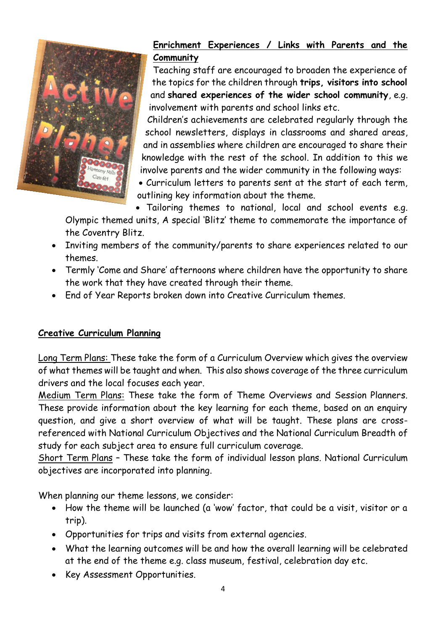

# **Enrichment Experiences / Links with Parents and the Community**

Teaching staff are encouraged to broaden the experience of the topics for the children through **trips, visitors into school**  and **shared experiences of the wider school community**, e.g. involvement with parents and school links etc.

Children's achievements are celebrated regularly through the school newsletters, displays in classrooms and shared areas, and in assemblies where children are encouraged to share their knowledge with the rest of the school. In addition to this we involve parents and the wider community in the following ways:

 Curriculum letters to parents sent at the start of each term, outlining key information about the theme.

Tailoring themes to national, local and school events e.g.

Olympic themed units, A special 'Blitz' theme to commemorate the importance of the Coventry Blitz.

- Inviting members of the community/parents to share experiences related to our themes.
- Termly 'Come and Share' afternoons where children have the opportunity to share the work that they have created through their theme.
- End of Year Reports broken down into Creative Curriculum themes.

#### **Creative Curriculum Planning**

Long Term Plans: These take the form of a Curriculum Overview which gives the overview of what themes will be taught and when. This also shows coverage of the three curriculum drivers and the local focuses each year.

Medium Term Plans: These take the form of Theme Overviews and Session Planners. These provide information about the key learning for each theme, based on an enquiry question, and give a short overview of what will be taught. These plans are crossreferenced with National Curriculum Objectives and the National Curriculum Breadth of study for each subject area to ensure full curriculum coverage.

Short Term Plans – These take the form of individual lesson plans. National Curriculum objectives are incorporated into planning.

When planning our theme lessons, we consider:

- How the theme will be launched (a 'wow' factor, that could be a visit, visitor or a trip).
- Opportunities for trips and visits from external agencies.
- What the learning outcomes will be and how the overall learning will be celebrated at the end of the theme e.g. class museum, festival, celebration day etc.
- Key Assessment Opportunities.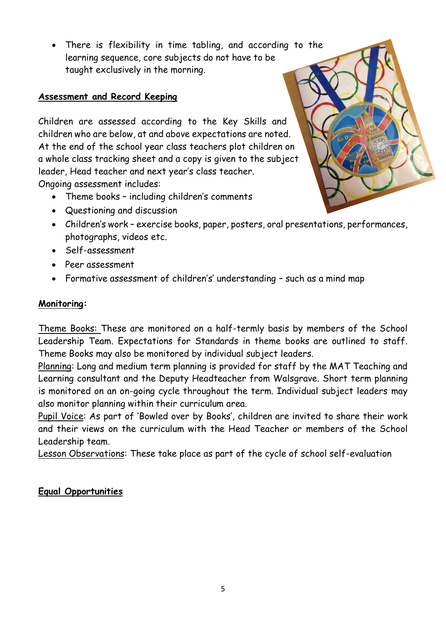There is flexibility in time tabling, and according to the learning sequence, core subjects do not have to be taught exclusively in the morning.

## **Assessment and Record Keeping**

Children are assessed according to the Key Skills and children who are below, at and above expectations are noted. At the end of the school year class teachers plot children on a whole class tracking sheet and a copy is given to the subject leader, Head teacher and next year's class teacher. Ongoing assessment includes:

- Theme books including children's comments
- Questioning and discussion
- Children's work exercise books, paper, posters, oral presentations, performances, photographs, videos etc.
- Self-assessment
- Peer assessment
- Formative assessment of children's' understanding such as a mind map

#### **Monitoring:**

Theme Books: These are monitored on a half-termly basis by members of the School Leadership Team. Expectations for Standards in theme books are outlined to staff. Theme Books may also be monitored by individual subject leaders.

Planning: Long and medium term planning is provided for staff by the MAT Teaching and Learning consultant and the Deputy Headteacher from Walsgrave. Short term planning is monitored on an on-going cycle throughout the term. Individual subject leaders may also monitor planning within their curriculum area.

Pupil Voice: As part of 'Bowled over by Books', children are invited to share their work and their views on the curriculum with the Head Teacher or members of the School Leadership team.

Lesson Observations: These take place as part of the cycle of school self-evaluation

#### **Equal Opportunities**

5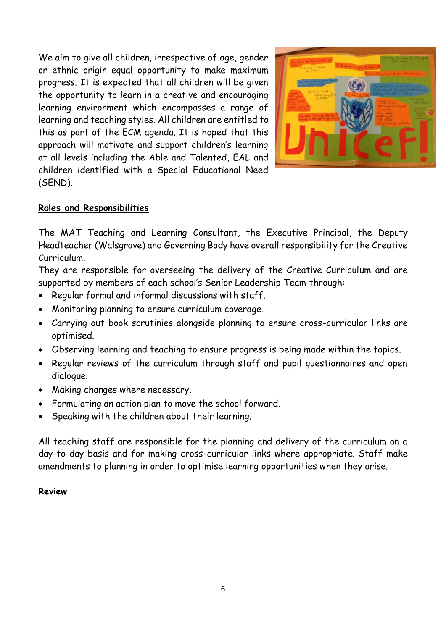We aim to give all children, irrespective of age, gender or ethnic origin equal opportunity to make maximum progress. It is expected that all children will be given the opportunity to learn in a creative and encouraging learning environment which encompasses a range of learning and teaching styles. All children are entitled to this as part of the ECM agenda. It is hoped that this approach will motivate and support children's learning at all levels including the Able and Talented, EAL and children identified with a Special Educational Need (SEND).



#### **Roles and Responsibilities**

The MAT Teaching and Learning Consultant, the Executive Principal, the Deputy Headteacher (Walsgrave) and Governing Body have overall responsibility for the Creative Curriculum.

They are responsible for overseeing the delivery of the Creative Curriculum and are supported by members of each school's Senior Leadership Team through:

- Regular formal and informal discussions with staff.
- Monitoring planning to ensure curriculum coverage.
- Carrying out book scrutinies alongside planning to ensure cross-curricular links are optimised.
- Observing learning and teaching to ensure progress is being made within the topics.
- Regular reviews of the curriculum through staff and pupil questionnaires and open dialogue.
- Making changes where necessary.
- Formulating an action plan to move the school forward.
- Speaking with the children about their learning.

All teaching staff are responsible for the planning and delivery of the curriculum on a day-to-day basis and for making cross-curricular links where appropriate. Staff make amendments to planning in order to optimise learning opportunities when they arise.

#### **Review**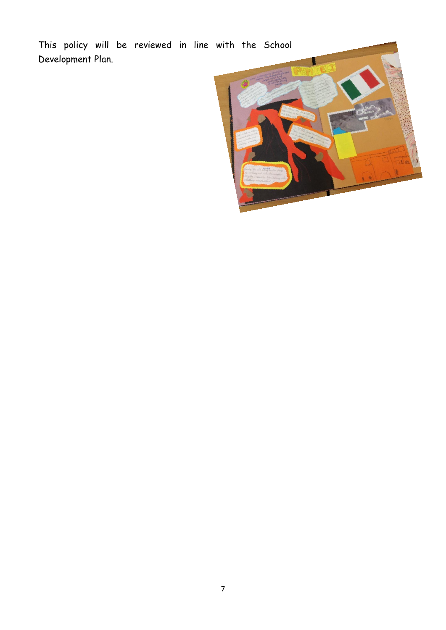This policy will be reviewed in line with the School Development Plan.